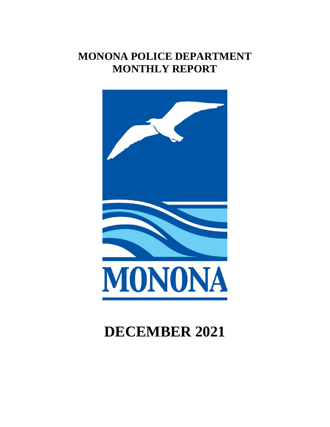# **MONONA POLICE DEPARTMENT MONTHLY REPORT**



# **DECEMBER 2021**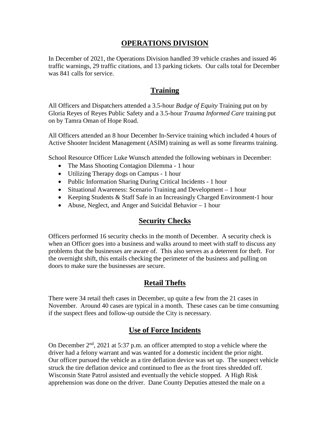#### **OPERATIONS DIVISION**

In December of 2021, the Operations Division handled 39 vehicle crashes and issued 46 traffic warnings, 29 traffic citations, and 13 parking tickets. Our calls total for December was 841 calls for service.

#### **Training**

All Officers and Dispatchers attended a 3.5-hour *Badge of Equity* Training put on by Gloria Reyes of Reyes Public Safety and a 3.5-hour *Trauma Informed Care* training put on by Tamra Oman of Hope Road.

All Officers attended an 8 hour December In-Service training which included 4 hours of Active Shooter Incident Management (ASIM) training as well as some firearms training.

School Resource Officer Luke Wunsch attended the following webinars in December:

- The Mass Shooting Contagion Dilemma 1 hour
- Utilizing Therapy dogs on Campus 1 hour
- Public Information Sharing During Critical Incidents 1 hour
- Situational Awareness: Scenario Training and Development 1 hour
- Keeping Students & Staff Safe in an Increasingly Charged Environment-1 hour
- Abuse, Neglect, and Anger and Suicidal Behavior 1 hour

#### **Security Checks**

Officers performed 16 security checks in the month of December. A security check is when an Officer goes into a business and walks around to meet with staff to discuss any problems that the businesses are aware of. This also serves as a deterrent for theft. For the overnight shift, this entails checking the perimeter of the business and pulling on doors to make sure the businesses are secure.

# **Retail Thefts**

There were 34 retail theft cases in December, up quite a few from the 21 cases in November. Around 40 cases are typical in a month. These cases can be time consuming if the suspect flees and follow-up outside the City is necessary.

# **Use of Force Incidents**

On December 2<sup>nd</sup>, 2021 at 5:37 p.m. an officer attempted to stop a vehicle where the driver had a felony warrant and was wanted for a domestic incident the prior night. Our officer pursued the vehicle as a tire deflation device was set up. The suspect vehicle struck the tire deflation device and continued to flee as the front tires shredded off. Wisconsin State Patrol assisted and eventually the vehicle stopped. A High Risk apprehension was done on the driver. Dane County Deputies attested the male on a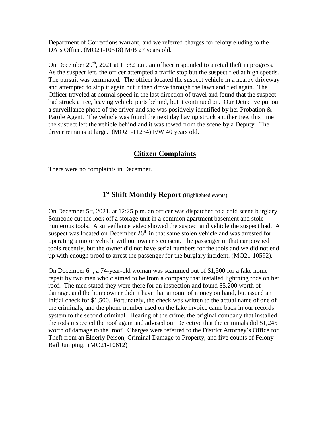Department of Corrections warrant, and we referred charges for felony eluding to the DA's Office. (MO21-10518) M/B 27 years old.

On December  $29<sup>th</sup>$ ,  $2021$  at 11:32 a.m. an officer responded to a retail theft in progress. As the suspect left, the officer attempted a traffic stop but the suspect fled at high speeds. The pursuit was terminated. The officer located the suspect vehicle in a nearby driveway and attempted to stop it again but it then drove through the lawn and fled again. The Officer traveled at normal speed in the last direction of travel and found that the suspect had struck a tree, leaving vehicle parts behind, but it continued on. Our Detective put out a surveillance photo of the driver and she was positively identified by her Probation & Parole Agent. The vehicle was found the next day having struck another tree, this time the suspect left the vehicle behind and it was towed from the scene by a Deputy. The driver remains at large. (MO21-11234) F/W 40 years old.

# **Citizen Complaints**

There were no complaints in December.

# **1st Shift Monthly Report** (Highlighted events)

On December  $5<sup>th</sup>$ , 2021, at 12:25 p.m. an officer was dispatched to a cold scene burglary. Someone cut the lock off a storage unit in a common apartment basement and stole numerous tools. A surveillance video showed the suspect and vehicle the suspect had. A suspect was located on December  $26<sup>th</sup>$  in that same stolen vehicle and was arrested for operating a motor vehicle without owner's consent. The passenger in that car pawned tools recently, but the owner did not have serial numbers for the tools and we did not end up with enough proof to arrest the passenger for the burglary incident. (MO21-10592).

On December  $6<sup>th</sup>$ , a 74-year-old woman was scammed out of \$1,500 for a fake home repair by two men who claimed to be from a company that installed lightning rods on her roof. The men stated they were there for an inspection and found \$5,200 worth of damage, and the homeowner didn't have that amount of money on hand, but issued an initial check for \$1,500. Fortunately, the check was written to the actual name of one of the criminals, and the phone number used on the fake invoice came back in our records system to the second criminal. Hearing of the crime, the original company that installed the rods inspected the roof again and advised our Detective that the criminals did \$1,245 worth of damage to the roof. Charges were referred to the District Attorney's Office for Theft from an Elderly Person, Criminal Damage to Property, and five counts of Felony Bail Jumping. (MO21-10612)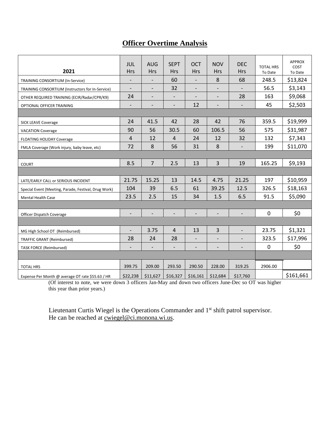# **Officer Overtime Analysis**

| 2021                                                 | JUL<br><b>Hrs</b>        | <b>AUG</b><br>Hrs        | <b>SEPT</b><br><b>Hrs</b> | <b>OCT</b><br>Hrs        | <b>NOV</b><br><b>Hrs</b> | <b>DEC</b><br><b>Hrs</b> | <b>TOTAL HRS</b><br>To Date | <b>APPROX</b><br>COST<br>To Date |
|------------------------------------------------------|--------------------------|--------------------------|---------------------------|--------------------------|--------------------------|--------------------------|-----------------------------|----------------------------------|
| TRAINING CONSORTIUM (In-Service)                     | $\overline{\phantom{a}}$ | $\overline{\phantom{a}}$ | 60                        | $\overline{\phantom{a}}$ | 8                        | 68                       | 248.5                       | \$13,824                         |
| TRAINING CONSORTIUM (Instructors for In-Service)     | $\overline{\phantom{a}}$ | $\overline{\phantom{a}}$ | 32                        | $\overline{\phantom{a}}$ | $\overline{\phantom{a}}$ |                          | 56.5                        | \$3,143                          |
| OTHER REQUIRED TRAINING (ECIR/Radar/CPR/K9)          | 24                       |                          |                           |                          |                          | 28                       | 163                         | \$9,068                          |
| OPTIONAL OFFICER TRAINING                            | $\overline{\phantom{a}}$ | $\overline{\phantom{a}}$ | $\overline{\phantom{a}}$  | 12                       | $\overline{\phantom{a}}$ | $\overline{\phantom{a}}$ | 45                          | \$2,503                          |
|                                                      |                          |                          |                           |                          |                          |                          |                             |                                  |
| <b>SICK LEAVE Coverage</b>                           | 24                       | 41.5                     | 42                        | 28                       | 42                       | 76                       | 359.5                       | \$19,999                         |
| <b>VACATION Coverage</b>                             | 90                       | 56                       | 30.5                      | 60                       | 106.5                    | 56                       | 575                         | \$31,987                         |
| <b>FLOATING HOLIDAY Coverage</b>                     | $\overline{4}$           | 12                       | $\overline{4}$            | 24                       | 12                       | 32                       | 132                         | \$7,343                          |
| FMLA Coverage (Work injury, baby leave, etc)         | 72                       | 8                        | 56                        | 31                       | 8                        | $\overline{\phantom{0}}$ | 199                         | \$11,070                         |
|                                                      |                          |                          |                           |                          |                          |                          |                             |                                  |
| <b>COURT</b>                                         | 8.5                      | $\overline{7}$           | 2.5                       | 13                       | 3                        | 19                       | 165.25                      | \$9,193                          |
|                                                      |                          |                          |                           |                          |                          |                          |                             |                                  |
| LATE/EARLY CALL or SERIOUS INCIDENT                  | 21.75                    | 15.25                    | 13                        | 14.5                     | 4.75                     | 21.25                    | 197                         | \$10,959                         |
| Special Event (Meeting, Parade, Festival, Drug Work) | 104                      | 39                       | 6.5                       | 61                       | 39.25                    | 12.5                     | 326.5                       | \$18,163                         |
| Mental Health Case                                   | 23.5                     | 2.5                      | 15                        | 34                       | 1.5                      | 6.5                      | 91.5                        | \$5,090                          |
|                                                      |                          |                          |                           |                          |                          |                          |                             |                                  |
| Officer Dispatch Coverage                            |                          |                          |                           |                          |                          |                          | 0                           | \$0                              |
|                                                      |                          |                          |                           |                          |                          |                          |                             |                                  |
| MG High School OT (Reimbursed)                       | $\overline{\phantom{a}}$ | 3.75                     | $\overline{4}$            | 13                       | 3                        | $\overline{\phantom{0}}$ | 23.75                       | \$1,321                          |
| <b>TRAFFIC GRANT (Reimbursed)</b>                    | 28                       | 24                       | 28                        | $\overline{\phantom{a}}$ | $\qquad \qquad$          |                          | 323.5                       | \$17,996                         |
| <b>TASK FORCE (Reimbursed)</b>                       | $\overline{\phantom{a}}$ | $\overline{\phantom{a}}$ | $\overline{\phantom{a}}$  | $\overline{\phantom{a}}$ | $\overline{\phantom{a}}$ | $\overline{\phantom{a}}$ | 0                           | \$0                              |
|                                                      |                          |                          |                           |                          |                          |                          |                             |                                  |
| <b>TOTAL HRS</b>                                     | 399.75                   | 209.00                   | 293.50                    | 290.50                   | 228.00                   | 319.25                   | 2906.00                     |                                  |
| Expense Per Month @ average OT rate \$55.63 / HR     | \$22,238                 | \$11,627                 | \$16,327                  | \$16,161                 | \$12,684                 | \$17,760                 |                             | \$161,661                        |

(Of interest to note, we were down 3 officers Jan-May and down two officers June-Dec so OT was higher this year than prior years.)

Lieutenant Curtis Wiegel is the Operations Commander and 1<sup>st</sup> shift patrol supervisor. He can be reached at [cwiegel@ci.monona.wi.us.](mailto:cwiegel@ci.monona.wi.us)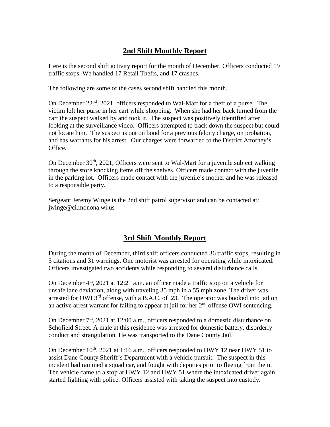# **2nd Shift Monthly Report**

Here is the second shift activity report for the month of December. Officers conducted 19 traffic stops. We handled 17 Retail Thefts, and 17 crashes.

The following are some of the cases second shift handled this month.

On December 22<sup>nd</sup>, 2021, officers responded to Wal-Mart for a theft of a purse. The victim left her purse in her cart while shopping. When she had her back turned from the cart the suspect walked by and took it. The suspect was positively identified after looking at the surveillance video. Officers attempted to track down the suspect but could not locate him. The suspect is out on bond for a previous felony charge, on probation, and has warrants for his arrest. Our charges were forwarded to the District Attorney's Office.

On December  $30<sup>th</sup>$ ,  $2021$ , Officers were sent to Wal-Mart for a juvenile subject walking through the store knocking items off the shelves. Officers made contact with the juvenile in the parking lot. Officers made contact with the juvenile's mother and he was released to a responsible party.

Sergeant Jeremy Winge is the 2nd shift patrol supervisor and can be contacted at: jwinge@ci.monona.wi.us

# **3rd Shift Monthly Report**

During the month of December, third shift officers conducted 36 traffic stops, resulting in 5 citations and 31 warnings. One motorist was arrested for operating while intoxicated. Officers investigated two accidents while responding to several disturbance calls.

On December  $4<sup>th</sup>$ , 2021 at 12:21 a.m. an officer made a traffic stop on a vehicle for unsafe lane deviation, along with traveling 35 mph in a 55 mph zone. The driver was arrested for OWI  $3<sup>rd</sup>$  offense, with a B.A.C. of .23. The operator was booked into jail on an active arrest warrant for failing to appear at jail for her  $2<sup>nd</sup>$  offense OWI sentencing.

On December  $7<sup>th</sup>$ , 2021 at 12:00 a.m., officers responded to a domestic disturbance on Schofield Street. A male at this residence was arrested for domestic battery, disorderly conduct and strangulation. He was transported to the Dane County Jail.

On December  $10^{th}$ , 2021 at 1:16 a.m., officers responded to HWY 12 near HWY 51 to assist Dane County Sheriff's Department with a vehicle pursuit. The suspect in this incident had rammed a squad car, and fought with deputies prior to fleeing from them. The vehicle came to a stop at HWY 12 and HWY 51 where the intoxicated driver again started fighting with police. Officers assisted with taking the suspect into custody.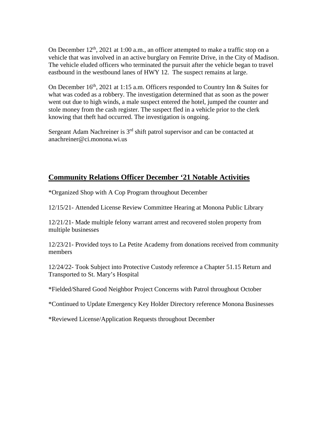On December  $12<sup>th</sup>$ , 2021 at 1:00 a.m., an officer attempted to make a traffic stop on a vehicle that was involved in an active burglary on Femrite Drive, in the City of Madison. The vehicle eluded officers who terminated the pursuit after the vehicle began to travel eastbound in the westbound lanes of HWY 12. The suspect remains at large.

On December  $16<sup>th</sup>$ , 2021 at 1:15 a.m. Officers responded to Country Inn & Suites for what was coded as a robbery. The investigation determined that as soon as the power went out due to high winds, a male suspect entered the hotel, jumped the counter and stole money from the cash register. The suspect fled in a vehicle prior to the clerk knowing that theft had occurred. The investigation is ongoing.

Sergeant Adam Nachreiner is  $3<sup>rd</sup>$  shift patrol supervisor and can be contacted at anachreiner@ci.monona.wi.us

# **Community Relations Officer December '21 Notable Activities**

\*Organized Shop with A Cop Program throughout December

12/15/21- Attended License Review Committee Hearing at Monona Public Library

12/21/21- Made multiple felony warrant arrest and recovered stolen property from multiple businesses

12/23/21- Provided toys to La Petite Academy from donations received from community members

12/24/22- Took Subject into Protective Custody reference a Chapter 51.15 Return and Transported to St. Mary's Hospital

\*Fielded/Shared Good Neighbor Project Concerns with Patrol throughout October

\*Continued to Update Emergency Key Holder Directory reference Monona Businesses

\*Reviewed License/Application Requests throughout December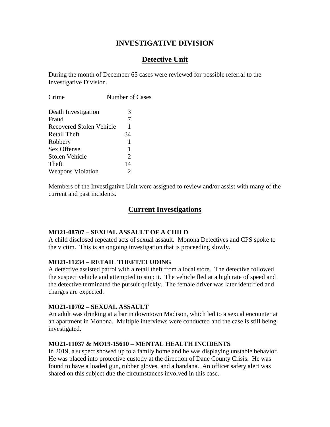# **INVESTIGATIVE DIVISION**

# **Detective Unit**

During the month of December 65 cases were reviewed for possible referral to the Investigative Division.

| Death Investigation<br>3<br>7<br>Fraud<br>Recovered Stolen Vehicle<br>1<br>34<br>Retail Theft<br>Robbery<br>1 |  |
|---------------------------------------------------------------------------------------------------------------|--|
|                                                                                                               |  |
|                                                                                                               |  |
|                                                                                                               |  |
|                                                                                                               |  |
|                                                                                                               |  |
| Sex Offense<br>1                                                                                              |  |
| $\mathcal{D}_{\mathcal{L}}$<br>Stolen Vehicle                                                                 |  |
| 14<br>Theft                                                                                                   |  |
| <b>Weapons Violation</b><br>2                                                                                 |  |

Members of the Investigative Unit were assigned to review and/or assist with many of the current and past incidents.

#### **Current Investigations**

#### **MO21-08707 – SEXUAL ASSAULT OF A CHILD**

A child disclosed repeated acts of sexual assault. Monona Detectives and CPS spoke to the victim. This is an ongoing investigation that is proceeding slowly.

#### **MO21-11234 – RETAIL THEFT/ELUDING**

A detective assisted patrol with a retail theft from a local store. The detective followed the suspect vehicle and attempted to stop it. The vehicle fled at a high rate of speed and the detective terminated the pursuit quickly. The female driver was later identified and charges are expected.

#### **MO21-10702 – SEXUAL ASSAULT**

An adult was drinking at a bar in downtown Madison, which led to a sexual encounter at an apartment in Monona. Multiple interviews were conducted and the case is still being investigated.

#### **MO21-11037 & MO19-15610 – MENTAL HEALTH INCIDENTS**

In 2019, a suspect showed up to a family home and he was displaying unstable behavior. He was placed into protective custody at the direction of Dane County Crisis. He was found to have a loaded gun, rubber gloves, and a bandana. An officer safety alert was shared on this subject due the circumstances involved in this case.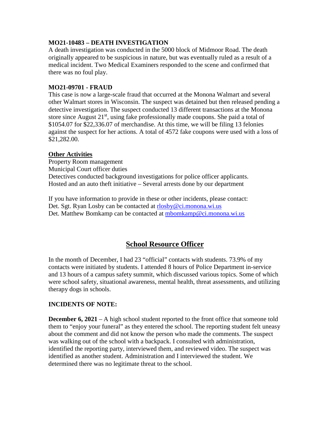#### **MO21-10483 – DEATH INVESTIGATION**

A death investigation was conducted in the 5000 block of Midmoor Road. The death originally appeared to be suspicious in nature, but was eventually ruled as a result of a medical incident. Two Medical Examiners responded to the scene and confirmed that there was no foul play.

#### **MO21-09701 - FRAUD**

This case is now a large-scale fraud that occurred at the Monona Walmart and several other Walmart stores in Wisconsin. The suspect was detained but then released pending a detective investigation. The suspect conducted 13 different transactions at the Monona store since August  $21<sup>st</sup>$ , using fake professionally made coupons. She paid a total of \$1054.07 for \$22,336.07 of merchandise. At this time, we will be filing 13 felonies against the suspect for her actions. A total of 4572 fake coupons were used with a loss of \$21,282.00.

#### **Other Activities**

Property Room management Municipal Court officer duties Detectives conducted background investigations for police officer applicants. Hosted and an auto theft initiative – Several arrests done by our department

If you have information to provide in these or other incidents, please contact: Det. Sgt. Ryan Losby can be contacted at [rlosby@ci.monona.wi.us](mailto:rlosby@ci.monona.wi.us) Det. Matthew Bomkamp can be contacted at [mbomkamp@ci.monona.wi.us](mailto:mbomkamp@ci.monona.wi.us)

# **School Resource Officer**

In the month of December, I had 23 "official" contacts with students. 73.9% of my contacts were initiated by students. I attended 8 hours of Police Department in-service and 13 hours of a campus safety summit, which discussed various topics. Some of which were school safety, situational awareness, mental health, threat assessments, and utilizing therapy dogs in schools.

#### **INCIDENTS OF NOTE:**

**December 6, 2021** – A high school student reported to the front office that someone told them to "enjoy your funeral" as they entered the school. The reporting student felt uneasy about the comment and did not know the person who made the comments. The suspect was walking out of the school with a backpack. I consulted with administration, identified the reporting party, interviewed them, and reviewed video. The suspect was identified as another student. Administration and I interviewed the student. We determined there was no legitimate threat to the school.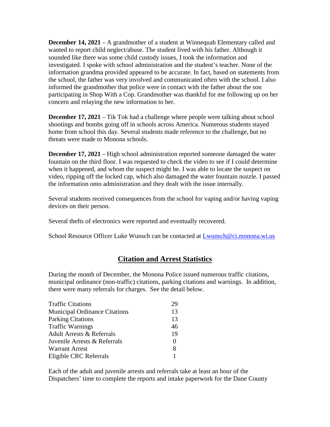**December 14, 2021** – A grandmother of a student at Winnequah Elementary called and wanted to report child neglect/abuse. The student lived with his father. Although it sounded like there was some child custody issues, I took the information and investigated. I spoke with school administration and the student's teacher. None of the information grandma provided appeared to be accurate. In fact, based on statements from the school, the father was very involved and communicated often with the school. I also informed the grandmother that police were in contact with the father about the son participating in Shop With a Cop. Grandmother was thankful for me following up on her concern and relaying the new information to her.

**December 17, 2021** – Tik Tok had a challenge where people were talking about school shootings and bombs going off in schools across America. Numerous students stayed home from school this day. Several students made reference to the challenge, but no threats were made to Monona schools.

**December 17, 2021** – High school administration reported someone damaged the water fountain on the third floor. I was requested to check the video to see if I could determine when it happened, and whom the suspect might be. I was able to locate the suspect on video, ripping off the locked cap, which also damaged the water fountain nozzle. I passed the information onto administration and they dealt with the issue internally.

Several students received consequences from the school for vaping and/or having vaping devices on their person.

Several thefts of electronics were reported and eventually recovered.

School Resource Officer Luke Wunsch can be contacted at [Lwunsch@ci.monona.wi.us](mailto:Lwunsch@ci.monona.wi.us)

# **Citation and Arrest Statistics**

During the month of December, the Monona Police issued numerous traffic citations, municipal ordinance (non-traffic) citations, parking citations and warnings. In addition, there were many referrals for charges. See the detail below.

| <b>Traffic Citations</b>             | 29           |
|--------------------------------------|--------------|
| <b>Municipal Ordinance Citations</b> | 13           |
| <b>Parking Citations</b>             | 13           |
| <b>Traffic Warnings</b>              | 46           |
| <b>Adult Arrests &amp; Referrals</b> | 19           |
| Juvenile Arrests & Referrals         | $\mathbf{0}$ |
| <b>Warrant Arrest</b>                | 8            |
| Eligible CRC Referrals               |              |

Each of the adult and juvenile arrests and referrals take at least an hour of the Dispatchers' time to complete the reports and intake paperwork for the Dane County